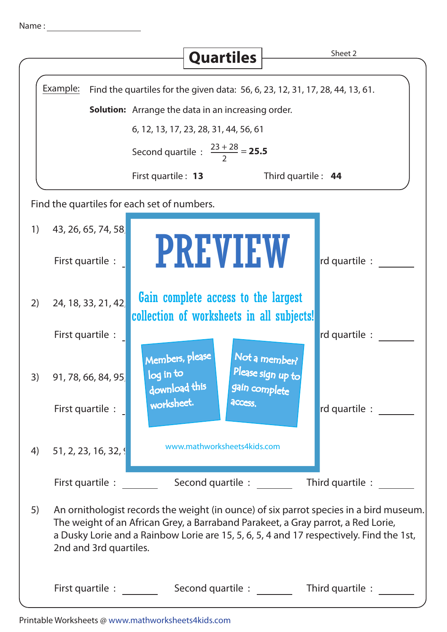|  | Name |  |
|--|------|--|
|  |      |  |

|    |                                                                                           | <b>Quartiles</b>                                                                 | Sheet 2                                                                                                                                                                                                                                                               |  |  |  |  |  |
|----|-------------------------------------------------------------------------------------------|----------------------------------------------------------------------------------|-----------------------------------------------------------------------------------------------------------------------------------------------------------------------------------------------------------------------------------------------------------------------|--|--|--|--|--|
|    |                                                                                           |                                                                                  |                                                                                                                                                                                                                                                                       |  |  |  |  |  |
|    | Example:<br>Find the quartiles for the given data: 56, 6, 23, 12, 31, 17, 28, 44, 13, 61. |                                                                                  |                                                                                                                                                                                                                                                                       |  |  |  |  |  |
|    | <b>Solution:</b> Arrange the data in an increasing order.                                 |                                                                                  |                                                                                                                                                                                                                                                                       |  |  |  |  |  |
|    | 6, 12, 13, 17, 23, 28, 31, 44, 56, 61                                                     |                                                                                  |                                                                                                                                                                                                                                                                       |  |  |  |  |  |
|    | Second quartile : $\frac{23 + 28}{2} = 25.5$                                              |                                                                                  |                                                                                                                                                                                                                                                                       |  |  |  |  |  |
|    |                                                                                           | First quartile : 13                                                              | Third quartile : $44$                                                                                                                                                                                                                                                 |  |  |  |  |  |
|    |                                                                                           | Find the quartiles for each set of numbers.                                      |                                                                                                                                                                                                                                                                       |  |  |  |  |  |
| 1) | 43, 26, 65, 74, 58                                                                        |                                                                                  |                                                                                                                                                                                                                                                                       |  |  |  |  |  |
|    | First quartile :                                                                          | <b>PREVIEW</b>                                                                   | rd quartile :                                                                                                                                                                                                                                                         |  |  |  |  |  |
| 2) | 24, 18, 33, 21, 42                                                                        | Gain complete access to the largest<br>collection of worksheets in all subjects! |                                                                                                                                                                                                                                                                       |  |  |  |  |  |
|    | First quartile :                                                                          |                                                                                  | rd quartile :                                                                                                                                                                                                                                                         |  |  |  |  |  |
| 3) | 91, 78, 66, 84, 95                                                                        | Members, please<br>log in to<br>download this                                    | Not a member?<br>Please sign up to<br>gain complete                                                                                                                                                                                                                   |  |  |  |  |  |
|    | First quartile :                                                                          | worksheet.<br>access.                                                            | rd quartile :                                                                                                                                                                                                                                                         |  |  |  |  |  |
|    | 4) 51, 2, 23, 16, 32, 9                                                                   | www.mathworksheets4kids.com                                                      |                                                                                                                                                                                                                                                                       |  |  |  |  |  |
|    | First quartile :                                                                          | Second quartile :                                                                | Third quartile :                                                                                                                                                                                                                                                      |  |  |  |  |  |
| 5) | 2nd and 3rd quartiles.                                                                    |                                                                                  | An ornithologist records the weight (in ounce) of six parrot species in a bird museum.<br>The weight of an African Grey, a Barraband Parakeet, a Gray parrot, a Red Lorie,<br>a Dusky Lorie and a Rainbow Lorie are 15, 5, 6, 5, 4 and 17 respectively. Find the 1st, |  |  |  |  |  |
|    | First quartile : Second quartile :<br>Third quartile :                                    |                                                                                  |                                                                                                                                                                                                                                                                       |  |  |  |  |  |